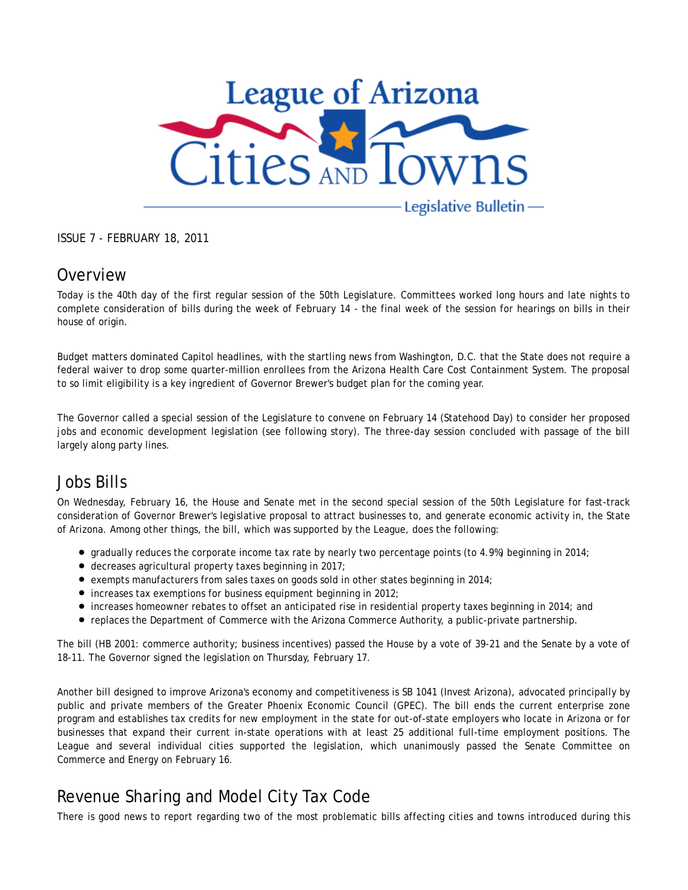

ISSUE 7 - FEBRUARY 18, 2011

#### **Overview**

Today is the 40th day of the first regular session of the 50th Legislature. Committees worked long hours and late nights to complete consideration of bills during the week of February 14 - the final week of the session for hearings on bills in their house of origin.

Budget matters dominated Capitol headlines, with the startling news from Washington, D.C. that the State does not require a federal waiver to drop some quarter-million enrollees from the Arizona Health Care Cost Containment System. The proposal to so limit eligibility is a key ingredient of Governor Brewer's budget plan for the coming year.

The Governor called a special session of the Legislature to convene on February 14 (Statehood Day) to consider her proposed jobs and economic development legislation (see following story). The three-day session concluded with passage of the bill largely along party lines.

#### Jobs Bills

On Wednesday, February 16, the House and Senate met in the second special session of the 50th Legislature for fast-track consideration of Governor Brewer's legislative proposal to attract businesses to, and generate economic activity in, the State of Arizona. Among other things, the bill, which was supported by the League, does the following:

- $\bullet$  gradually reduces the corporate income tax rate by nearly two percentage points (to 4.9%) beginning in 2014;
- $\bullet$  decreases agricultural property taxes beginning in 2017;
- $\bullet$  exempts manufacturers from sales taxes on goods sold in other states beginning in 2014;
- $\bullet$  increases tax exemptions for business equipment beginning in 2012;
- increases homeowner rebates to offset an anticipated rise in residential property taxes beginning in 2014; and
- replaces the Department of Commerce with the Arizona Commerce Authority, a public-private partnership.

The bill (HB 2001: commerce authority; business incentives) passed the House by a vote of 39-21 and the Senate by a vote of 18-11. The Governor signed the legislation on Thursday, February 17.

Another bill designed to improve Arizona's economy and competitiveness is SB 1041 (Invest Arizona), advocated principally by public and private members of the Greater Phoenix Economic Council (GPEC). The bill ends the current enterprise zone program and establishes tax credits for new employment in the state for out-of-state employers who locate in Arizona or for businesses that expand their current in-state operations with at least 25 additional full-time employment positions. The League and several individual cities supported the legislation, which unanimously passed the Senate Committee on Commerce and Energy on February 16.

## Revenue Sharing and Model City Tax Code

There is good news to report regarding two of the most problematic bills affecting cities and towns introduced during this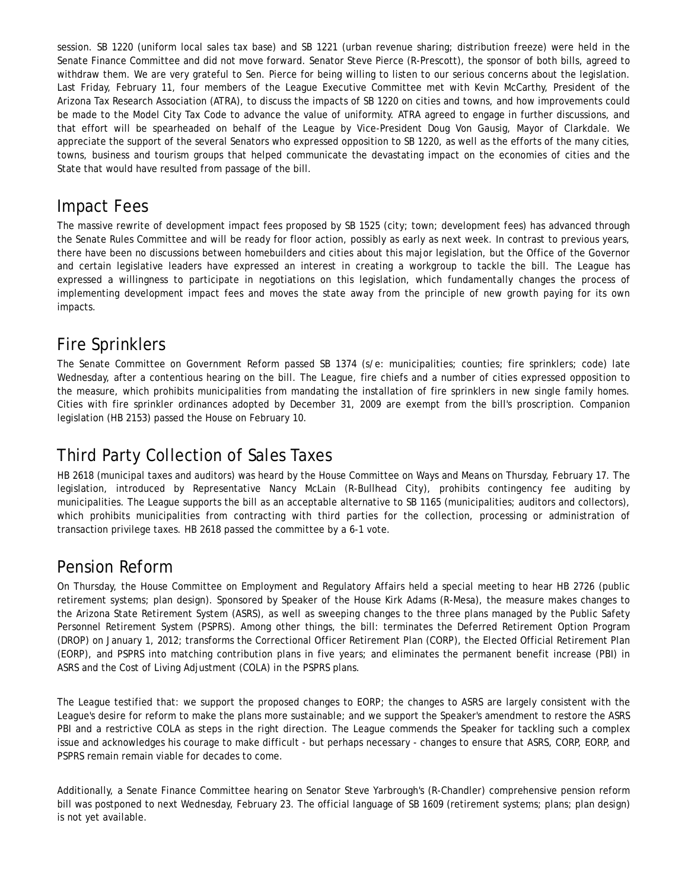session. SB 1220 (uniform local sales tax base) and SB 1221 (urban revenue sharing; distribution freeze) were held in the Senate Finance Committee and did not move forward. Senator Steve Pierce (R-Prescott), the sponsor of both bills, agreed to withdraw them. We are very grateful to Sen. Pierce for being willing to listen to our serious concerns about the legislation. Last Friday, February 11, four members of the League Executive Committee met with Kevin McCarthy, President of the Arizona Tax Research Association (ATRA), to discuss the impacts of SB 1220 on cities and towns, and how improvements could be made to the Model City Tax Code to advance the value of uniformity. ATRA agreed to engage in further discussions, and that effort will be spearheaded on behalf of the League by Vice-President Doug Von Gausig, Mayor of Clarkdale. We appreciate the support of the several Senators who expressed opposition to SB 1220, as well as the efforts of the many cities, towns, business and tourism groups that helped communicate the devastating impact on the economies of cities and the State that would have resulted from passage of the bill.

#### Impact Fees

The massive rewrite of development impact fees proposed by SB 1525 (city; town; development fees) has advanced through the Senate Rules Committee and will be ready for floor action, possibly as early as next week. In contrast to previous years, there have been no discussions between homebuilders and cities about this major legislation, but the Office of the Governor and certain legislative leaders have expressed an interest in creating a workgroup to tackle the bill. The League has expressed a willingness to participate in negotiations on this legislation, which fundamentally changes the process of implementing development impact fees and moves the state away from the principle of new growth paying for its own impacts.

### Fire Sprinklers

The Senate Committee on Government Reform passed SB 1374 (s/e: municipalities; counties; fire sprinklers; code) late Wednesday, after a contentious hearing on the bill. The League, fire chiefs and a number of cities expressed opposition to the measure, which prohibits municipalities from mandating the installation of fire sprinklers in new single family homes. Cities with fire sprinkler ordinances adopted by December 31, 2009 are exempt from the bill's proscription. Companion legislation (HB 2153) passed the House on February 10.

# Third Party Collection of Sales Taxes

HB 2618 (municipal taxes and auditors) was heard by the House Committee on Ways and Means on Thursday, February 17. The legislation, introduced by Representative Nancy McLain (R-Bullhead City), prohibits contingency fee auditing by municipalities. The League supports the bill as an acceptable alternative to SB 1165 (municipalities; auditors and collectors), which prohibits municipalities from contracting with third parties for the collection, processing or administration of transaction privilege taxes. HB 2618 passed the committee by a 6-1 vote.

#### Pension Reform

On Thursday, the House Committee on Employment and Regulatory Affairs held a special meeting to hear HB 2726 (public retirement systems; plan design). Sponsored by Speaker of the House Kirk Adams (R-Mesa), the measure makes changes to the Arizona State Retirement System (ASRS), as well as sweeping changes to the three plans managed by the Public Safety Personnel Retirement System (PSPRS). Among other things, the bill: terminates the Deferred Retirement Option Program (DROP) on January 1, 2012; transforms the Correctional Officer Retirement Plan (CORP), the Elected Official Retirement Plan (EORP), and PSPRS into matching contribution plans in five years; and eliminates the permanent benefit increase (PBI) in ASRS and the Cost of Living Adjustment (COLA) in the PSPRS plans.

The League testified that: we support the proposed changes to EORP; the changes to ASRS are largely consistent with the League's desire for reform to make the plans more sustainable; and we support the Speaker's amendment to restore the ASRS PBI and a restrictive COLA as steps in the right direction. The League commends the Speaker for tackling such a complex issue and acknowledges his courage to make difficult - but perhaps necessary - changes to ensure that ASRS, CORP, EORP, and PSPRS remain remain viable for decades to come.

Additionally, a Senate Finance Committee hearing on Senator Steve Yarbrough's (R-Chandler) comprehensive pension reform bill was postponed to next Wednesday, February 23. The official language of SB 1609 (retirement systems; plans; plan design) is not yet available.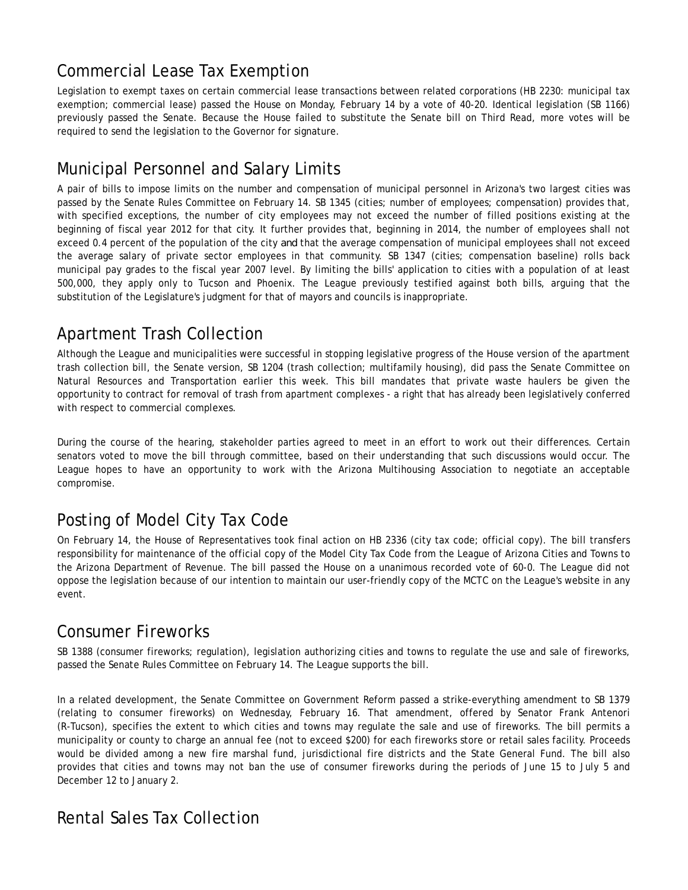# Commercial Lease Tax Exemption

Legislation to exempt taxes on certain commercial lease transactions between related corporations (HB 2230: municipal tax exemption; commercial lease) passed the House on Monday, February 14 by a vote of 40-20. Identical legislation (SB 1166) previously passed the Senate. Because the House failed to substitute the Senate bill on Third Read, more votes will be required to send the legislation to the Governor for signature.

## Municipal Personnel and Salary Limits

A pair of bills to impose limits on the number and compensation of municipal personnel in Arizona's two largest cities was passed by the Senate Rules Committee on February 14. SB 1345 (cities; number of employees; compensation) provides that, with specified exceptions, the number of city employees may not exceed the number of filled positions existing at the beginning of fiscal year 2012 for that city. It further provides that, beginning in 2014, the number of employees shall not exceed 0.4 percent of the population of the city *and* that the average compensation of municipal employees shall not exceed the average salary of private sector employees in that community. SB 1347 (cities; compensation baseline) rolls back municipal pay grades to the fiscal year 2007 level. By limiting the bills' application to cities with a population of at least 500,000, they apply only to Tucson and Phoenix. The League previously testified against both bills, arguing that the substitution of the Legislature's judgment for that of mayors and councils is inappropriate.

## Apartment Trash Collection

Although the League and municipalities were successful in stopping legislative progress of the House version of the apartment trash collection bill, the Senate version, SB 1204 (trash collection; multifamily housing), did pass the Senate Committee on Natural Resources and Transportation earlier this week. This bill mandates that private waste haulers be given the opportunity to contract for removal of trash from apartment complexes - a right that has already been legislatively conferred with respect to commercial complexes.

During the course of the hearing, stakeholder parties agreed to meet in an effort to work out their differences. Certain senators voted to move the bill through committee, based on their understanding that such discussions would occur. The League hopes to have an opportunity to work with the Arizona Multihousing Association to negotiate an acceptable compromise.

# Posting of Model City Tax Code

On February 14, the House of Representatives took final action on HB 2336 (city tax code; official copy). The bill transfers responsibility for maintenance of the official copy of the Model City Tax Code from the League of Arizona Cities and Towns to the Arizona Department of Revenue. The bill passed the House on a unanimous recorded vote of 60-0. The League did not oppose the legislation because of our intention to maintain our user-friendly copy of the MCTC on the League's website in any event.

## Consumer Fireworks

SB 1388 (consumer fireworks; regulation), legislation authorizing cities and towns to regulate the use and sale of fireworks, passed the Senate Rules Committee on February 14. The League supports the bill.

In a related development, the Senate Committee on Government Reform passed a strike-everything amendment to SB 1379 (relating to consumer fireworks) on Wednesday, February 16. That amendment, offered by Senator Frank Antenori (R-Tucson), specifies the extent to which cities and towns may regulate the sale and use of fireworks. The bill permits a municipality or county to charge an annual fee (not to exceed \$200) for each fireworks store or retail sales facility. Proceeds would be divided among a new fire marshal fund, jurisdictional fire districts and the State General Fund. The bill also provides that cities and towns may not ban the use of consumer fireworks during the periods of June 15 to July 5 and December 12 to January 2.

#### Rental Sales Tax Collection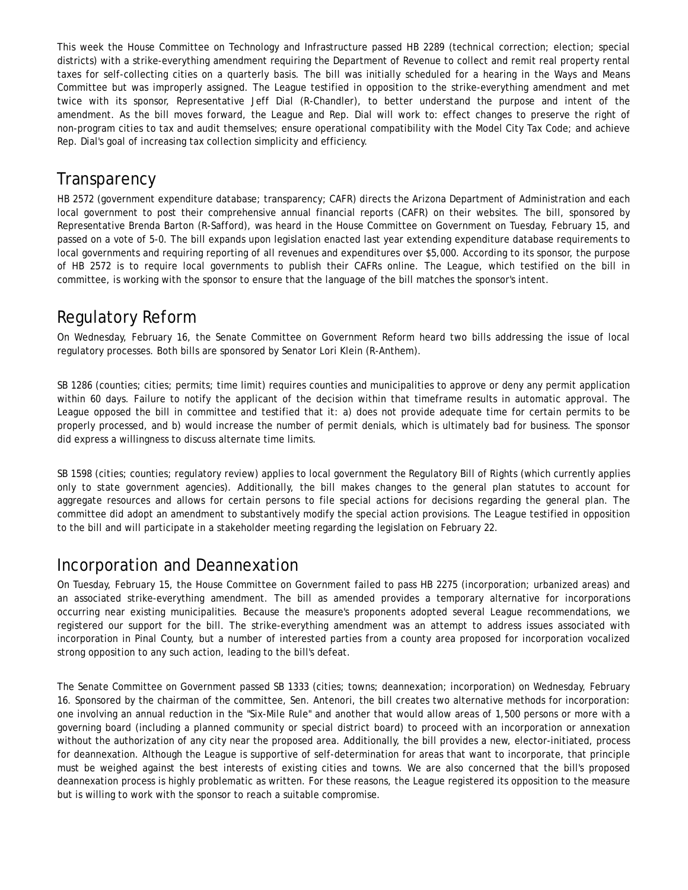This week the House Committee on Technology and Infrastructure passed HB 2289 (technical correction; election; special districts) with a strike-everything amendment requiring the Department of Revenue to collect and remit real property rental taxes for self-collecting cities on a quarterly basis. The bill was initially scheduled for a hearing in the Ways and Means Committee but was improperly assigned. The League testified in opposition to the strike-everything amendment and met twice with its sponsor, Representative Jeff Dial (R-Chandler), to better understand the purpose and intent of the amendment. As the bill moves forward, the League and Rep. Dial will work to: effect changes to preserve the right of non-program cities to tax and audit themselves; ensure operational compatibility with the Model City Tax Code; and achieve Rep. Dial's goal of increasing tax collection simplicity and efficiency.

#### **Transparency**

HB 2572 (government expenditure database; transparency; CAFR) directs the Arizona Department of Administration and each local government to post their comprehensive annual financial reports (CAFR) on their websites. The bill, sponsored by Representative Brenda Barton (R-Safford), was heard in the House Committee on Government on Tuesday, February 15, and passed on a vote of 5-0. The bill expands upon legislation enacted last year extending expenditure database requirements to local governments and requiring reporting of all revenues and expenditures over \$5,000. According to its sponsor, the purpose of HB 2572 is to require local governments to publish their CAFRs online. The League, which testified on the bill in committee, is working with the sponsor to ensure that the language of the bill matches the sponsor's intent.

### Regulatory Reform

On Wednesday, February 16, the Senate Committee on Government Reform heard two bills addressing the issue of local regulatory processes. Both bills are sponsored by Senator Lori Klein (R-Anthem).

SB 1286 (counties; cities; permits; time limit) requires counties and municipalities to approve or deny any permit application within 60 days. Failure to notify the applicant of the decision within that timeframe results in automatic approval. The League opposed the bill in committee and testified that it: a) does not provide adequate time for certain permits to be properly processed, and b) would increase the number of permit denials, which is ultimately bad for business. The sponsor did express a willingness to discuss alternate time limits.

SB 1598 (cities; counties; regulatory review) applies to local government the Regulatory Bill of Rights (which currently applies only to state government agencies). Additionally, the bill makes changes to the general plan statutes to account for aggregate resources and allows for certain persons to file special actions for decisions regarding the general plan. The committee did adopt an amendment to substantively modify the special action provisions. The League testified in opposition to the bill and will participate in a stakeholder meeting regarding the legislation on February 22.

#### Incorporation and Deannexation

On Tuesday, February 15, the House Committee on Government failed to pass HB 2275 (incorporation; urbanized areas) and an associated strike-everything amendment. The bill as amended provides a temporary alternative for incorporations occurring near existing municipalities. Because the measure's proponents adopted several League recommendations, we registered our support for the bill. The strike-everything amendment was an attempt to address issues associated with incorporation in Pinal County, but a number of interested parties from a county area proposed for incorporation vocalized strong opposition to any such action, leading to the bill's defeat.

The Senate Committee on Government passed SB 1333 (cities; towns; deannexation; incorporation) on Wednesday, February 16. Sponsored by the chairman of the committee, Sen. Antenori, the bill creates two alternative methods for incorporation: one involving an annual reduction in the "Six-Mile Rule" and another that would allow areas of 1,500 persons or more with a governing board (including a planned community or special district board) to proceed with an incorporation or annexation without the authorization of any city near the proposed area. Additionally, the bill provides a new, elector-initiated, process for deannexation. Although the League is supportive of self-determination for areas that want to incorporate, that principle must be weighed against the best interests of existing cities and towns. We are also concerned that the bill's proposed deannexation process is highly problematic as written. For these reasons, the League registered its opposition to the measure but is willing to work with the sponsor to reach a suitable compromise.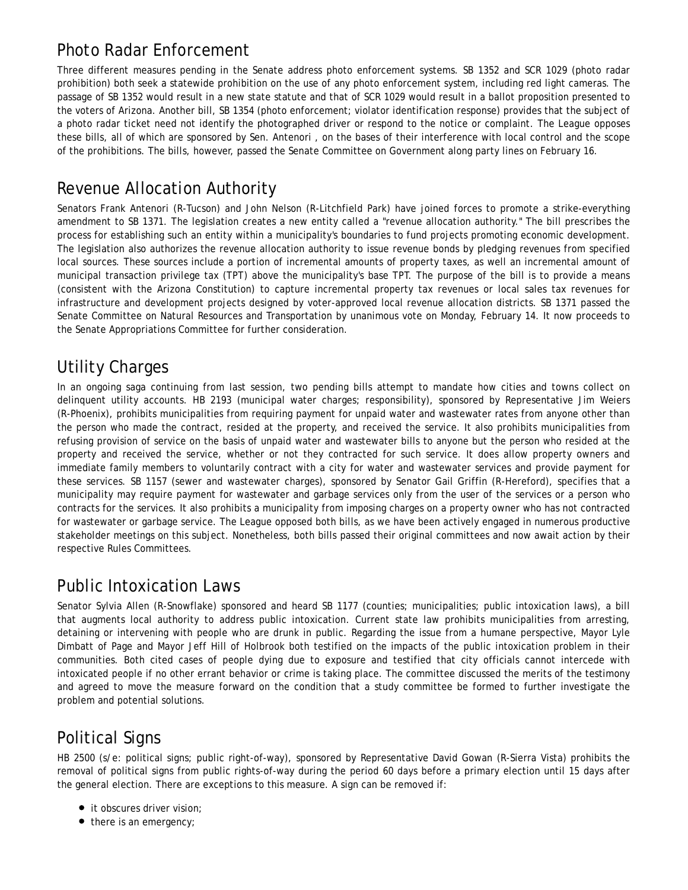## Photo Radar Enforcement

Three different measures pending in the Senate address photo enforcement systems. SB 1352 and SCR 1029 (photo radar prohibition) both seek a statewide prohibition on the use of any photo enforcement system, including red light cameras. The passage of SB 1352 would result in a new state statute and that of SCR 1029 would result in a ballot proposition presented to the voters of Arizona. Another bill, SB 1354 (photo enforcement; violator identification response) provides that the subject of a photo radar ticket need not identify the photographed driver or respond to the notice or complaint. The League opposes these bills, all of which are sponsored by Sen. Antenori , on the bases of their interference with local control and the scope of the prohibitions. The bills, however, passed the Senate Committee on Government along party lines on February 16.

### Revenue Allocation Authority

Senators Frank Antenori (R-Tucson) and John Nelson (R-Litchfield Park) have joined forces to promote a strike-everything amendment to SB 1371. The legislation creates a new entity called a "revenue allocation authority." The bill prescribes the process for establishing such an entity within a municipality's boundaries to fund projects promoting economic development. The legislation also authorizes the revenue allocation authority to issue revenue bonds by pledging revenues from specified local sources. These sources include a portion of incremental amounts of property taxes, as well an incremental amount of municipal transaction privilege tax (TPT) above the municipality's base TPT. The purpose of the bill is to provide a means (consistent with the Arizona Constitution) to capture incremental property tax revenues or local sales tax revenues for infrastructure and development projects designed by voter-approved local revenue allocation districts. SB 1371 passed the Senate Committee on Natural Resources and Transportation by unanimous vote on Monday, February 14. It now proceeds to the Senate Appropriations Committee for further consideration.

### Utility Charges

In an ongoing saga continuing from last session, two pending bills attempt to mandate how cities and towns collect on delinquent utility accounts. HB 2193 (municipal water charges; responsibility), sponsored by Representative Jim Weiers (R-Phoenix), prohibits municipalities from requiring payment for unpaid water and wastewater rates from anyone other than the person who made the contract, resided at the property, and received the service. It also prohibits municipalities from refusing provision of service on the basis of unpaid water and wastewater bills to anyone but the person who resided at the property and received the service, whether or not they contracted for such service. It does allow property owners and immediate family members to voluntarily contract with a city for water and wastewater services and provide payment for these services. SB 1157 (sewer and wastewater charges), sponsored by Senator Gail Griffin (R-Hereford), specifies that a municipality may require payment for wastewater and garbage services only from the user of the services or a person who contracts for the services. It also prohibits a municipality from imposing charges on a property owner who has not contracted for wastewater or garbage service. The League opposed both bills, as we have been actively engaged in numerous productive stakeholder meetings on this subject. Nonetheless, both bills passed their original committees and now await action by their respective Rules Committees.

## Public Intoxication Laws

Senator Sylvia Allen (R-Snowflake) sponsored and heard SB 1177 (counties; municipalities; public intoxication laws), a bill that augments local authority to address public intoxication. Current state law prohibits municipalities from arresting, detaining or intervening with people who are drunk in public. Regarding the issue from a humane perspective, Mayor Lyle Dimbatt of Page and Mayor Jeff Hill of Holbrook both testified on the impacts of the public intoxication problem in their communities. Both cited cases of people dying due to exposure and testified that city officials cannot intercede with intoxicated people if no other errant behavior or crime is taking place. The committee discussed the merits of the testimony and agreed to move the measure forward on the condition that a study committee be formed to further investigate the problem and potential solutions.

## Political Signs

HB 2500 (s/e: political signs; public right-of-way), sponsored by Representative David Gowan (R-Sierra Vista) prohibits the removal of political signs from public rights-of-way during the period 60 days before a primary election until 15 days after the general election. There are exceptions to this measure. A sign can be removed if:

- it obscures driver vision;
- there is an emergency;